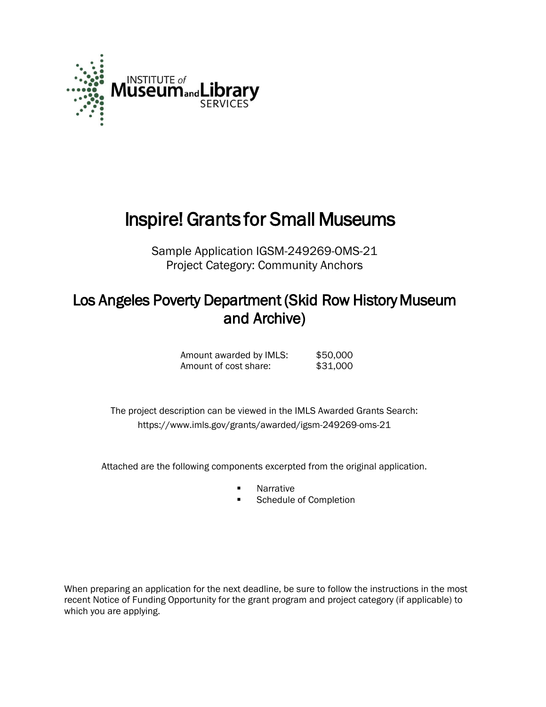

# Inspire! Grants for Small Museums

Sample Application IGSM-249269-OMS-21 Project Category: Community Anchors

## Los Angeles Poverty Department (Skid Row History Museum and Archive)

| Amount awarded by IMLS: | \$50,000 |
|-------------------------|----------|
| Amount of cost share:   | \$31,000 |

 The project description can be viewed in the IMLS Awarded Grants Search: <https://www.imls.gov/grants/awarded/igsm-249269-oms-21>

Attached are the following components excerpted from the original application.

- Narrative
- Schedule of Completion

When preparing an application for the next deadline, be sure to follow the instructions in the most recent Notice of Funding Opportunity for the grant program and project category (if applicable) to which you are applying.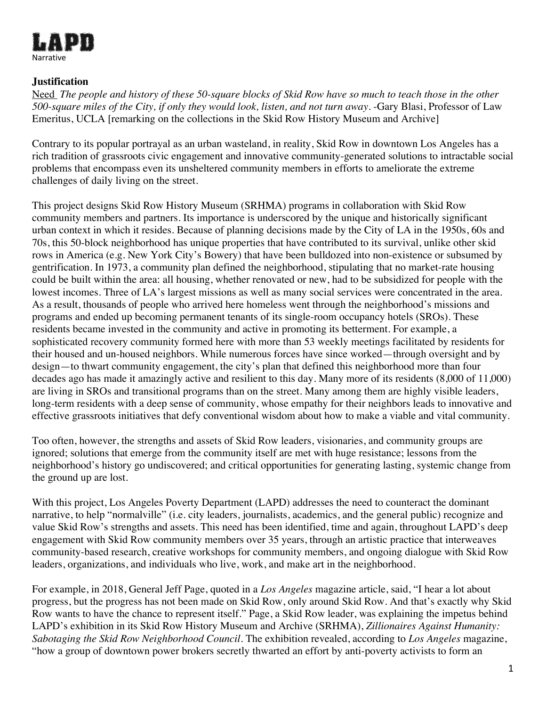

#### **Justification**

Need *The people and history of these 50-square blocks of Skid Row have so much to teach those in the other 500-square miles of the City, if only they would look, listen, and not turn away.* -Gary Blasi, Professor of Law Emeritus, UCLA [remarking on the collections in the Skid Row History Museum and Archive]

Contrary to its popular portrayal as an urban wasteland, in reality, Skid Row in downtown Los Angeles has a rich tradition of grassroots civic engagement and innovative community-generated solutions to intractable social problems that encompass even its unsheltered community members in efforts to ameliorate the extreme challenges of daily living on the street.

This project designs Skid Row History Museum (SRHMA) programs in collaboration with Skid Row community members and partners. Its importance is underscored by the unique and historically significant urban context in which it resides. Because of planning decisions made by the City of LA in the 1950s, 60s and 70s, this 50-block neighborhood has unique properties that have contributed to its survival, unlike other skid rows in America (e.g. New York City's Bowery) that have been bulldozed into non-existence or subsumed by gentrification. In 1973, a community plan defined the neighborhood, stipulating that no market-rate housing could be built within the area: all housing, whether renovated or new, had to be subsidized for people with the lowest incomes. Three of LA's largest missions as well as many social services were concentrated in the area. As a result, thousands of people who arrived here homeless went through the neighborhood's missions and programs and ended up becoming permanent tenants of its single-room occupancy hotels (SROs). These residents became invested in the community and active in promoting its betterment. For example, a sophisticated recovery community formed here with more than 53 weekly meetings facilitated by residents for their housed and un-housed neighbors. While numerous forces have since worked—through oversight and by design—to thwart community engagement, the city's plan that defined this neighborhood more than four decades ago has made it amazingly active and resilient to this day. Many more of its residents (8,000 of 11,000) are living in SROs and transitional programs than on the street. Many among them are highly visible leaders, long-term residents with a deep sense of community, whose empathy for their neighbors leads to innovative and effective grassroots initiatives that defy conventional wisdom about how to make a viable and vital community.

Too often, however, the strengths and assets of Skid Row leaders, visionaries, and community groups are ignored; solutions that emerge from the community itself are met with huge resistance; lessons from the neighborhood's history go undiscovered; and critical opportunities for generating lasting, systemic change from the ground up are lost.

With this project, Los Angeles Poverty Department (LAPD) addresses the need to counteract the dominant narrative, to help "normalville" (i.e. city leaders, journalists, academics, and the general public) recognize and value Skid Row's strengths and assets. This need has been identified, time and again, throughout LAPD's deep engagement with Skid Row community members over 35 years, through an artistic practice that interweaves community-based research, creative workshops for community members, and ongoing dialogue with Skid Row leaders, organizations, and individuals who live, work, and make art in the neighborhood.

For example, in 2018, General Jeff Page, quoted in a *Los Angeles* magazine article, said, "I hear a lot about progress, but the progress has not been made on Skid Row, only around Skid Row. And that's exactly why Skid Row wants to have the chance to represent itself." Page, a Skid Row leader, was explaining the impetus behind LAPD's exhibition in its Skid Row History Museum and Archive (SRHMA), *Zillionaires Against Humanity: Sabotaging the Skid Row Neighborhood Council.* The exhibition revealed, according to *Los Angeles* magazine, "how a group of downtown power brokers secretly thwarted an effort by anti-poverty activists to form an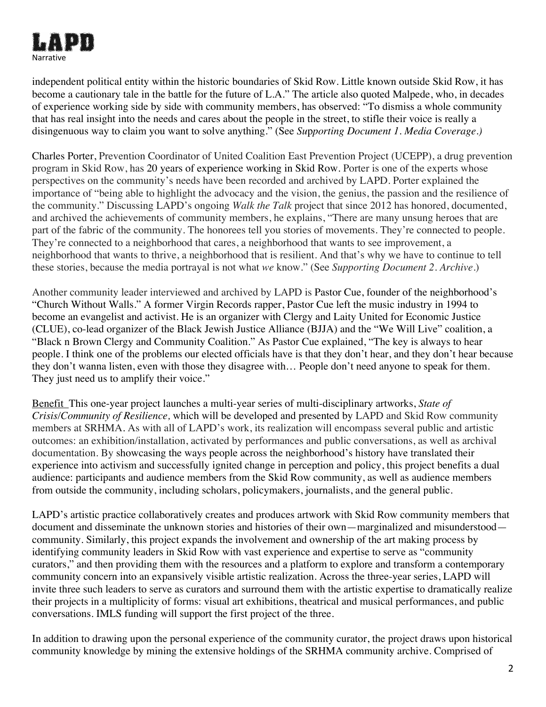

independent political entity within the historic boundaries of Skid Row. Little known outside Skid Row, it has become a cautionary tale in the battle for the future of L.A." The article also quoted Malpede, who, in decades of experience working side by side with community members, has observed: "To dismiss a whole community that has real insight into the needs and cares about the people in the street, to stifle their voice is really a disingenuous way to claim you want to solve anything." (See *Su*p*porting Document 1. Media Coverage.)*

Charles Porter, Prevention Coordinator of United Coalition East Prevention Project (UCEPP), a drug prevention program in Skid Row, has 20 years of experience working in Skid Row. Porter is one of the experts whose perspectives on the community's needs have been recorded and archived by LAPD. Porter explained the importance of "being able to highlight the advocacy and the vision, the genius, the passion and the resilience of the community." Discussing LAPD's ongoing *Walk the Talk* project that since 2012 has honored, documented, and archived the achievements of community members, he explains, "There are many unsung heroes that are part of the fabric of the community. The honorees tell you stories of movements. They're connected to people. They're connected to a neighborhood that cares, a neighborhood that wants to see improvement, a neighborhood that wants to thrive, a neighborhood that is resilient. And that's why we have to continue to tell these stories, because the media portrayal is not what *we* know." (See *Supporting Document 2. Archive.*)

Another community leader interviewed and archived by LAPD is Pastor Cue, founder of the neighborhood's "Church Without Walls." A former Virgin Records rapper, Pastor Cue left the music industry in 1994 to become an evangelist and activist. He is an organizer with Clergy and Laity United for Economic Justice (CLUE), co-lead organizer of the Black Jewish Justice Alliance (BJJA) and the "We Will Live" coalition, a "Black n Brown Clergy and Community Coalition." As Pastor Cue explained, "The key is always to hear people. I think one of the problems our elected officials have is that they don't hear, and they don't hear because they don't wanna listen, even with those they disagree with… People don't need anyone to speak for them. They just need us to amplify their voice."

Benefit This one-year project launches a multi-year series of multi-disciplinary artworks, *State of Crisis/Community of Resilience,* which will be developed and presented by LAPD and Skid Row community members at SRHMA. As with all of LAPD's work, its realization will encompass several public and artistic outcomes: an exhibition/installation, activated by performances and public conversations, as well as archival documentation. By showcasing the ways people across the neighborhood's history have translated their experience into activism and successfully ignited change in perception and policy, this project benefits a dual audience: participants and audience members from the Skid Row community, as well as audience members from outside the community, including scholars, policymakers, journalists, and the general public.

LAPD's artistic practice collaboratively creates and produces artwork with Skid Row community members that document and disseminate the unknown stories and histories of their own—marginalized and misunderstood community. Similarly, this project expands the involvement and ownership of the art making process by identifying community leaders in Skid Row with vast experience and expertise to serve as "community curators," and then providing them with the resources and a platform to explore and transform a contemporary community concern into an expansively visible artistic realization. Across the three-year series, LAPD will invite three such leaders to serve as curators and surround them with the artistic expertise to dramatically realize their projects in a multiplicity of forms: visual art exhibitions, theatrical and musical performances, and public conversations. IMLS funding will support the first project of the three.

In addition to drawing upon the personal experience of the community curator, the project draws upon historical community knowledge by mining the extensive holdings of the SRHMA community archive. Comprised of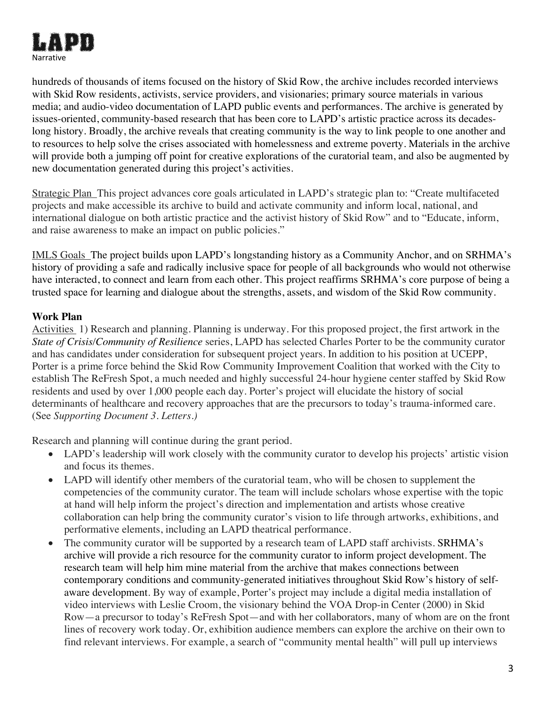

hundreds of thousands of items focused on the history of Skid Row, the archive includes recorded interviews with Skid Row residents, activists, service providers, and visionaries; primary source materials in various media; and audio-video documentation of LAPD public events and performances. The archive is generated by issues-oriented, community-based research that has been core to LAPD's artistic practice across its decadeslong history. Broadly, the archive reveals that creating community is the way to link people to one another and to resources to help solve the crises associated with homelessness and extreme poverty. Materials in the archive will provide both a jumping off point for creative explorations of the curatorial team, and also be augmented by new documentation generated during this project's activities.

Strategic Plan This project advances core goals articulated in LAPD's strategic plan to: "Create multifaceted projects and make accessible its archive to build and activate community and inform local, national, and international dialogue on both artistic practice and the activist history of Skid Row" and to "Educate, inform, and raise awareness to make an impact on public policies."

IMLS Goals The project builds upon LAPD's longstanding history as a Community Anchor, and on SRHMA's history of providing a safe and radically inclusive space for people of all backgrounds who would not otherwise have interacted, to connect and learn from each other. This project reaffirms SRHMA's core purpose of being a trusted space for learning and dialogue about the strengths, assets, and wisdom of the Skid Row community.

#### **Work Plan**

Activities 1) Research and planning. Planning is underway. For this proposed project, the first artwork in the *State of Crisis/Community of Resilience* series, LAPD has selected Charles Porter to be the community curator and has candidates under consideration for subsequent project years. In addition to his position at UCEPP, Porter is a prime force behind the Skid Row Community Improvement Coalition that worked with the City to establish The ReFresh Spot, a much needed and highly successful 24-hour hygiene center staffed by Skid Row residents and used by over 1,000 people each day. Porter's project will elucidate the history of social determinants of healthcare and recovery approaches that are the precursors to today's trauma-informed care. (See *Supporting Document 3. Letters.)*

Research and planning will continue during the grant period.

- LAPD's leadership will work closely with the community curator to develop his projects' artistic vision and focus its themes.
- LAPD will identify other members of the curatorial team, who will be chosen to supplement the competencies of the community curator. The team will include scholars whose expertise with the topic at hand will help inform the project's direction and implementation and artists whose creative collaboration can help bring the community curator's vision to life through artworks, exhibitions, and performative elements, including an LAPD theatrical performance.
- The community curator will be supported by a research team of LAPD staff archivists. SRHMA's archive will provide a rich resource for the community curator to inform project development. The research team will help him mine material from the archive that makes connections between contemporary conditions and community-generated initiatives throughout Skid Row's history of selfaware development. By way of example, Porter's project may include a digital media installation of video interviews with Leslie Croom, the visionary behind the VOA Drop-in Center (2000) in Skid Row—a precursor to today's ReFresh Spot—and with her collaborators, many of whom are on the front lines of recovery work today. Or, exhibition audience members can explore the archive on their own to find relevant interviews. For example, a search of "community mental health" will pull up interviews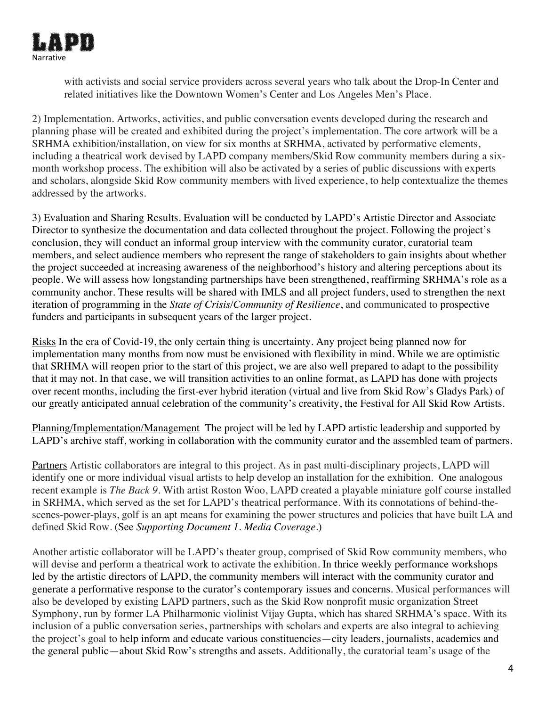

with activists and social service providers across several years who talk about the Drop-In Center and related initiatives like the Downtown Women's Center and Los Angeles Men's Place.

2) Implementation. Artworks, activities, and public conversation events developed during the research and planning phase will be created and exhibited during the project's implementation. The core artwork will be a SRHMA exhibition/installation, on view for six months at SRHMA, activated by performative elements, including a theatrical work devised by LAPD company members/Skid Row community members during a sixmonth workshop process. The exhibition will also be activated by a series of public discussions with experts and scholars, alongside Skid Row community members with lived experience, to help contextualize the themes addressed by the artworks.

3) Evaluation and Sharing Results. Evaluation will be conducted by LAPD's Artistic Director and Associate Director to synthesize the documentation and data collected throughout the project. Following the project's conclusion, they will conduct an informal group interview with the community curator, curatorial team members, and select audience members who represent the range of stakeholders to gain insights about whether the project succeeded at increasing awareness of the neighborhood's history and altering perceptions about its people. We will assess how longstanding partnerships have been strengthened, reaffirming SRHMA's role as a community anchor. These results will be shared with IMLS and all project funders, used to strengthen the next iteration of programming in the *State of Crisis/Community of Resilience*, and communicated to prospective funders and participants in subsequent years of the larger project.

Risks In the era of Covid-19, the only certain thing is uncertainty. Any project being planned now for implementation many months from now must be envisioned with flexibility in mind. While we are optimistic that SRHMA will reopen prior to the start of this project, we are also well prepared to adapt to the possibility that it may not. In that case, we will transition activities to an online format, as LAPD has done with projects over recent months, including the first-ever hybrid iteration (virtual and live from Skid Row's Gladys Park) of our greatly anticipated annual celebration of the community's creativity, the Festival for All Skid Row Artists.

Planning/Implementation/Management The project will be led by LAPD artistic leadership and supported by LAPD's archive staff, working in collaboration with the community curator and the assembled team of partners.

Partners Artistic collaborators are integral to this project. As in past multi-disciplinary projects, LAPD will identify one or more individual visual artists to help develop an installation for the exhibition. One analogous recent example is *The Back 9*. With artist Roston Woo, LAPD created a playable miniature golf course installed in SRHMA, which served as the set for LAPD's theatrical performance. With its connotations of behind-thescenes-power-plays, golf is an apt means for examining the power structures and policies that have built LA and defined Skid Row. (See *Supporting Document 1. Media Coverage*.)

Another artistic collaborator will be LAPD's theater group, comprised of Skid Row community members, who will devise and perform a theatrical work to activate the exhibition. In thrice weekly performance workshops led by the artistic directors of LAPD, the community members will interact with the community curator and generate a performative response to the curator's contemporary issues and concerns. Musical performances will also be developed by existing LAPD partners, such as the Skid Row nonprofit music organization Street Symphony, run by former LA Philharmonic violinist Vijay Gupta, which has shared SRHMA's space. With its inclusion of a public conversation series, partnerships with scholars and experts are also integral to achieving the project's goal to help inform and educate various constituencies—city leaders, journalists, academics and the general public—about Skid Row's strengths and assets. Additionally, the curatorial team's usage of the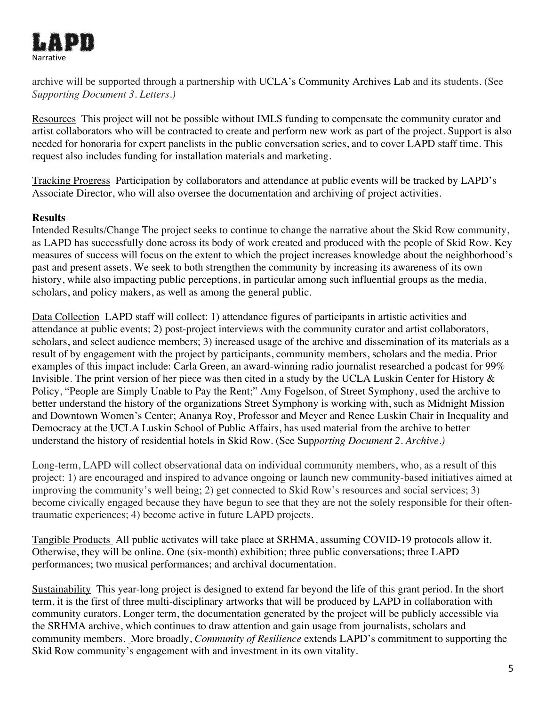

archive will be supported through a partnership with UCLA's Community Archives Lab and its students. (See *Supporting Document 3. Letters.)*

Resources This project will not be possible without IMLS funding to compensate the community curator and artist collaborators who will be contracted to create and perform new work as part of the project. Support is also needed for honoraria for expert panelists in the public conversation series, and to cover LAPD staff time. This request also includes funding for installation materials and marketing.

Tracking Progress Participation by collaborators and attendance at public events will be tracked by LAPD's Associate Director, who will also oversee the documentation and archiving of project activities.

#### **Results**

Intended Results/Change The project seeks to continue to change the narrative about the Skid Row community, as LAPD has successfully done across its body of work created and produced with the people of Skid Row. Key measures of success will focus on the extent to which the project increases knowledge about the neighborhood's past and present assets. We seek to both strengthen the community by increasing its awareness of its own history, while also impacting public perceptions, in particular among such influential groups as the media, scholars, and policy makers, as well as among the general public.

Data Collection LAPD staff will collect: 1) attendance figures of participants in artistic activities and attendance at public events; 2) post-project interviews with the community curator and artist collaborators, scholars, and select audience members; 3) increased usage of the archive and dissemination of its materials as a result of by engagement with the project by participants, community members, scholars and the media. Prior examples of this impact include: Carla Green, an award-winning radio journalist researched a podcast for 99% Invisible. The print version of her piece was then cited in a study by the UCLA Luskin Center for History & Policy, "People are Simply Unable to Pay the Rent;" Amy Fogelson, of Street Symphony, used the archive to better understand the history of the organizations Street Symphony is working with, such as Midnight Mission and Downtown Women's Center; Ananya Roy, Professor and Meyer and Renee Luskin Chair in Inequality and Democracy at the UCLA Luskin School of Public Affairs, has used material from the archive to better understand the history of residential hotels in Skid Row. (See Sup*porting Document 2. Archive.)*

Long-term, LAPD will collect observational data on individual community members, who, as a result of this project: 1) are encouraged and inspired to advance ongoing or launch new community-based initiatives aimed at improving the community's well being; 2) get connected to Skid Row's resources and social services; 3) become civically engaged because they have begun to see that they are not the solely responsible for their oftentraumatic experiences; 4) become active in future LAPD projects.

Tangible Products All public activates will take place at SRHMA, assuming COVID-19 protocols allow it. Otherwise, they will be online. One (six-month) exhibition; three public conversations; three LAPD performances; two musical performances; and archival documentation.

Sustainability This year-long project is designed to extend far beyond the life of this grant period. In the short term, it is the first of three multi-disciplinary artworks that will be produced by LAPD in collaboration with community curators. Longer term, the documentation generated by the project will be publicly accessible via the SRHMA archive, which continues to draw attention and gain usage from journalists, scholars and community members. More broadly, *Community of Resilience* extends LAPD's commitment to supporting the Skid Row community's engagement with and investment in its own vitality.